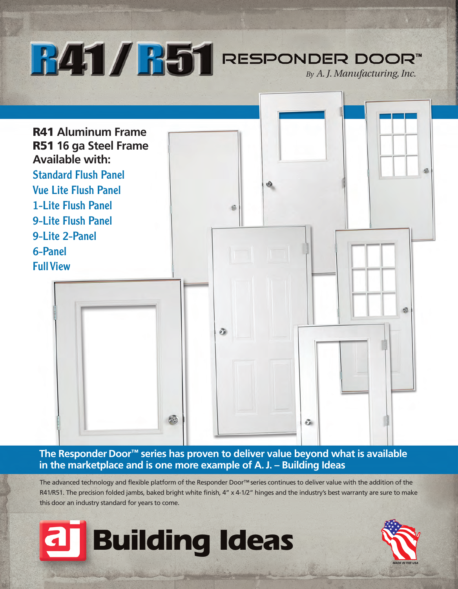**B41/B51** RESPONDER DOOR<sup>TM</sup> **R41 Aluminum Frame R51 16 ga Steel Frame Available with:** Standard Flush Panel  $\circledcirc$ Vue Lite Flush Panel 1-Lite Flush Panel S 9-Lite Flush Panel 9-Lite 2-Panel 6-Panel **Full View** 

**The Responder Door™ series has proven to deliver value beyond what is available in the marketplace and is one more example of A. J. – Building Ideas**

õ.

a

The advanced technology and flexible platform of the Responder Door™ series continues to deliver value with the addition of the R41/R51. The precision folded jambs, baked bright white finish, 4" x 4-1/2" hinges and the industry's best warranty are sure to make this door an industry standard for years to come.



5.